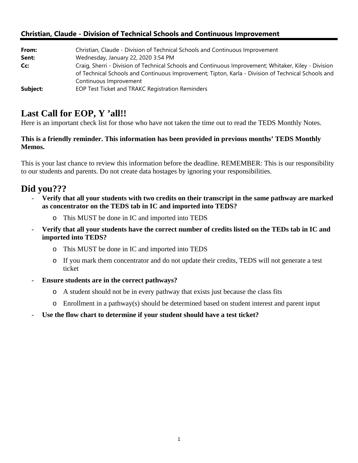## **Christian, Claude - Division of Technical Schools and Continuous Improvement**

| From:    | Christian, Claude - Division of Technical Schools and Continuous Improvement                         |
|----------|------------------------------------------------------------------------------------------------------|
| Sent:    | Wednesday, January 22, 2020 3:54 PM                                                                  |
| Cc:      | Craig, Sherri - Division of Technical Schools and Continuous Improvement; Whitaker, Kiley - Division |
|          | of Technical Schools and Continuous Improvement; Tipton, Karla - Division of Technical Schools and   |
|          | Continuous Improvement                                                                               |
| Subject: | EOP Test Ticket and TRAKC Registration Reminders                                                     |

## Last Call for EOP, Y 'all!!

Here is an important check list for those who have not taken the time out to read the TEDS Monthly Notes.

### **This is a friendly reminder. This information has been provided in previous months' TEDS Monthly Memos.**

This is your last chance to review this information before the deadline. REMEMBER: This is our responsibility to our students and parents. Do not create data hostages by ignoring your responsibilities.

# **Did you???**

- **Verify that all your students with two credits on their transcript in the same pathway are marked as concentrator on the TEDS tab in IC and imported into TEDS?** 
	- o This MUST be done in IC and imported into TEDS
- **Verify that all your students have the correct number of credits listed on the TEDs tab in IC and imported into TEDS?** 
	- o This MUST be done in IC and imported into TEDS
	- o If you mark them concentrator and do not update their credits, TEDS will not generate a test ticket
- **Ensure students are in the correct pathways?** 
	- o A student should not be in every pathway that exists just because the class fits
	- o Enrollment in a pathway(s) should be determined based on student interest and parent input
- Use the flow chart to determine if your student should have a test ticket?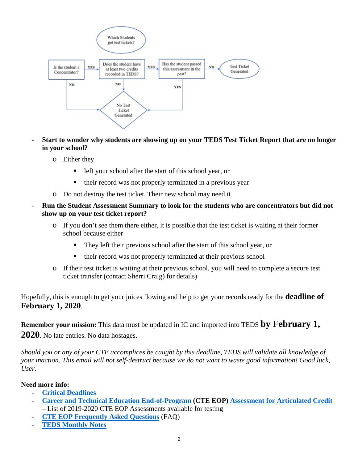

- **Start to wonder why students are showing up on your TEDS Test Ticket Report that are no longer in your school?** 
	- o Either they
		- left your school after the start of this school year, or
		- their record was not properly terminated in a previous year
	- o Do not destroy the test ticket. Their new school may need it
- **Run the Student Assessment Summary to look for the students who are concentrators but did not show up on your test ticket report?** 
	- o If you don't see them there either, it is possible that the test ticket is waiting at their former school because either
		- They left their previous school after the start of this school year, or
		- $\blacksquare$  their record was not properly terminated at their previous school
	- o If their test ticket is waiting at their previous school, you will need to complete a secure test ticket transfer (contact Sherri Craig) for details)

Hopefully, this is enough to get your juices flowing and help to get your records ready for the **deadline of February 1, 2020**.

**Remember your mission:** This data must be updated in IC and imported into TEDS **by February 1, 2020**. No late entries. No data hostages.

*Should you or any of your CTE accomplices be caught by this deadline, TEDS will validate all knowledge of your inaction. This email will not self-destruct because we do not want to waste good information! Good luck, User.* 

#### **Need more info:**

- **Critical Deadlines**
- Career and Technical Education End-of-Program (CTE EOP) Assessment for Articulated Credit – List of 2019-2020 CTE EOP Assessments available for testing
- **CTE EOP Frequently Asked Questions** (FAQ)
- **TEDS Monthly Notes**